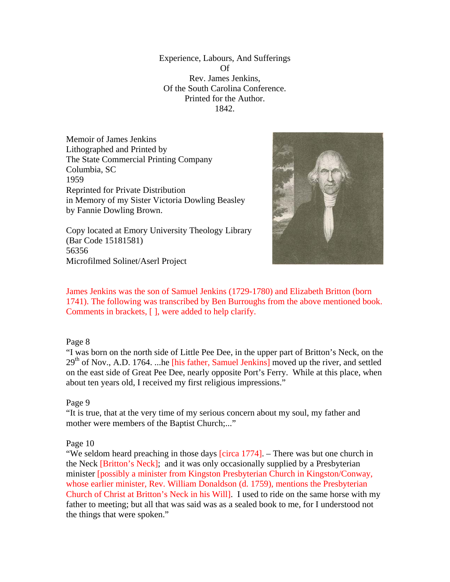Experience, Labours, And Sufferings Of Rev. James Jenkins, Of the South Carolina Conference. Printed for the Author. 1842.

Memoir of James Jenkins Lithographed and Printed by The State Commercial Printing Company Columbia, SC 1959 Reprinted for Private Distribution in Memory of my Sister Victoria Dowling Beasley by Fannie Dowling Brown.





James Jenkins was the son of Samuel Jenkins (1729-1780) and Elizabeth Britton (born 1741). The following was transcribed by Ben Burroughs from the above mentioned book. Comments in brackets, [ ], were added to help clarify.

# Page 8

56356

"I was born on the north side of Little Pee Dee, in the upper part of Britton's Neck, on the  $29<sup>th</sup>$  of Nov., A.D. 1764. ...he [his father, Samuel Jenkins] moved up the river, and settled on the east side of Great Pee Dee, nearly opposite Port's Ferry. While at this place, when about ten years old, I received my first religious impressions."

# Page 9

"It is true, that at the very time of my serious concern about my soul, my father and mother were members of the Baptist Church;..."

# Page 10

"We seldom heard preaching in those days [circa 1774]. – There was but one church in the Neck [Britton's Neck]; and it was only occasionally supplied by a Presbyterian minister [possibly a minister from Kingston Presbyterian Church in Kingston/Conway, whose earlier minister, Rev. William Donaldson (d. 1759), mentions the Presbyterian Church of Christ at Britton's Neck in his Will]. I used to ride on the same horse with my father to meeting; but all that was said was as a sealed book to me, for I understood not the things that were spoken."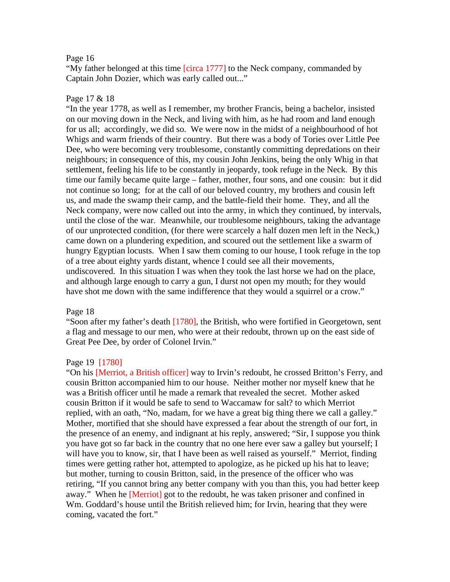#### Page 16

"My father belonged at this time [circa 1777] to the Neck company, commanded by Captain John Dozier, which was early called out..."

### Page 17 & 18

"In the year 1778, as well as I remember, my brother Francis, being a bachelor, insisted on our moving down in the Neck, and living with him, as he had room and land enough for us all; accordingly, we did so. We were now in the midst of a neighbourhood of hot Whigs and warm friends of their country. But there was a body of Tories over Little Pee Dee, who were becoming very troublesome, constantly committing depredations on their neighbours; in consequence of this, my cousin John Jenkins, being the only Whig in that settlement, feeling his life to be constantly in jeopardy, took refuge in the Neck. By this time our family became quite large – father, mother, four sons, and one cousin: but it did not continue so long; for at the call of our beloved country, my brothers and cousin left us, and made the swamp their camp, and the battle-field their home. They, and all the Neck company, were now called out into the army, in which they continued, by intervals, until the close of the war. Meanwhile, our troublesome neighbours, taking the advantage of our unprotected condition, (for there were scarcely a half dozen men left in the Neck,) came down on a plundering expedition, and scoured out the settlement like a swarm of hungry Egyptian locusts. When I saw them coming to our house, I took refuge in the top of a tree about eighty yards distant, whence I could see all their movements, undiscovered. In this situation I was when they took the last horse we had on the place, and although large enough to carry a gun, I durst not open my mouth; for they would have shot me down with the same indifference that they would a squirrel or a crow."

#### Page 18

"Soon after my father's death  $[1780]$ , the British, who were fortified in Georgetown, sent a flag and message to our men, who were at their redoubt, thrown up on the east side of Great Pee Dee, by order of Colonel Irvin."

### Page 19 [1780]

"On his [Merriot, a British officer] way to Irvin's redoubt, he crossed Britton's Ferry, and cousin Britton accompanied him to our house. Neither mother nor myself knew that he was a British officer until he made a remark that revealed the secret. Mother asked cousin Britton if it would be safe to send to Waccamaw for salt? to which Merriot replied, with an oath, "No, madam, for we have a great big thing there we call a galley." Mother, mortified that she should have expressed a fear about the strength of our fort, in the presence of an enemy, and indignant at his reply, answered; "Sir, I suppose you think you have got so far back in the country that no one here ever saw a galley but yourself; I will have you to know, sir, that I have been as well raised as yourself." Merriot, finding times were getting rather hot, attempted to apologize, as he picked up his hat to leave; but mother, turning to cousin Britton, said, in the presence of the officer who was retiring, "If you cannot bring any better company with you than this, you had better keep away." When he [Merriot] got to the redoubt, he was taken prisoner and confined in Wm. Goddard's house until the British relieved him; for Irvin, hearing that they were coming, vacated the fort."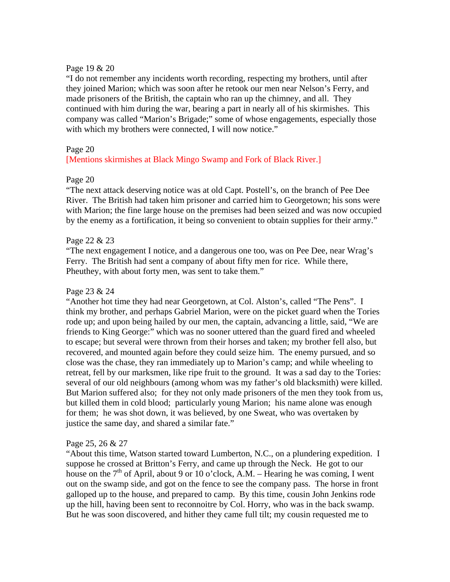## Page 19 & 20

"I do not remember any incidents worth recording, respecting my brothers, until after they joined Marion; which was soon after he retook our men near Nelson's Ferry, and made prisoners of the British, the captain who ran up the chimney, and all. They continued with him during the war, bearing a part in nearly all of his skirmishes. This company was called "Marion's Brigade;" some of whose engagements, especially those with which my brothers were connected, I will now notice."

# Page 20

# [Mentions skirmishes at Black Mingo Swamp and Fork of Black River.]

# Page 20

"The next attack deserving notice was at old Capt. Postell's, on the branch of Pee Dee River. The British had taken him prisoner and carried him to Georgetown; his sons were with Marion; the fine large house on the premises had been seized and was now occupied by the enemy as a fortification, it being so convenient to obtain supplies for their army."

### Page 22 & 23

"The next engagement I notice, and a dangerous one too, was on Pee Dee, near Wrag's Ferry. The British had sent a company of about fifty men for rice. While there, Pheuthey, with about forty men, was sent to take them."

# Page 23 & 24

"Another hot time they had near Georgetown, at Col. Alston's, called "The Pens". I think my brother, and perhaps Gabriel Marion, were on the picket guard when the Tories rode up; and upon being hailed by our men, the captain, advancing a little, said, "We are friends to King George:" which was no sooner uttered than the guard fired and wheeled to escape; but several were thrown from their horses and taken; my brother fell also, but recovered, and mounted again before they could seize him. The enemy pursued, and so close was the chase, they ran immediately up to Marion's camp; and while wheeling to retreat, fell by our marksmen, like ripe fruit to the ground. It was a sad day to the Tories: several of our old neighbours (among whom was my father's old blacksmith) were killed. But Marion suffered also; for they not only made prisoners of the men they took from us, but killed them in cold blood; particularly young Marion; his name alone was enough for them; he was shot down, it was believed, by one Sweat, who was overtaken by justice the same day, and shared a similar fate."

#### Page 25, 26 & 27

"About this time, Watson started toward Lumberton, N.C., on a plundering expedition. I suppose he crossed at Britton's Ferry, and came up through the Neck. He got to our house on the  $7<sup>th</sup>$  of April, about 9 or 10 o'clock, A.M. – Hearing he was coming, I went out on the swamp side, and got on the fence to see the company pass. The horse in front galloped up to the house, and prepared to camp. By this time, cousin John Jenkins rode up the hill, having been sent to reconnoitre by Col. Horry, who was in the back swamp. But he was soon discovered, and hither they came full tilt; my cousin requested me to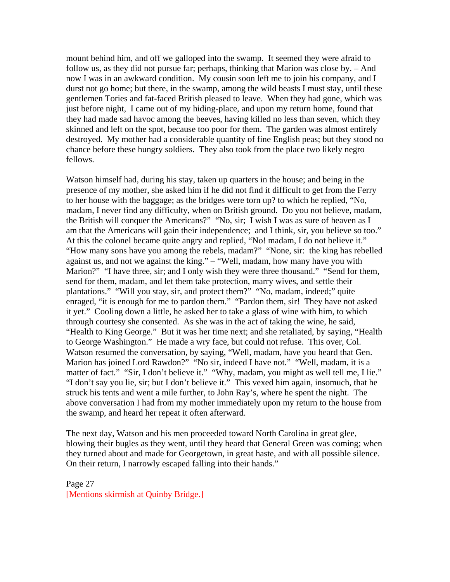mount behind him, and off we galloped into the swamp. It seemed they were afraid to follow us, as they did not pursue far; perhaps, thinking that Marion was close by. – And now I was in an awkward condition. My cousin soon left me to join his company, and I durst not go home; but there, in the swamp, among the wild beasts I must stay, until these gentlemen Tories and fat-faced British pleased to leave. When they had gone, which was just before night, I came out of my hiding-place, and upon my return home, found that they had made sad havoc among the beeves, having killed no less than seven, which they skinned and left on the spot, because too poor for them. The garden was almost entirely destroyed. My mother had a considerable quantity of fine English peas; but they stood no chance before these hungry soldiers. They also took from the place two likely negro fellows.

Watson himself had, during his stay, taken up quarters in the house; and being in the presence of my mother, she asked him if he did not find it difficult to get from the Ferry to her house with the baggage; as the bridges were torn up? to which he replied, "No, madam, I never find any difficulty, when on British ground. Do you not believe, madam, the British will conquer the Americans?" "No, sir; I wish I was as sure of heaven as I am that the Americans will gain their independence; and I think, sir, you believe so too." At this the colonel became quite angry and replied, "No! madam, I do not believe it." "How many sons have you among the rebels, madam?" "None, sir: the king has rebelled against us, and not we against the king." – "Well, madam, how many have you with Marion?" "I have three, sir; and I only wish they were three thousand." "Send for them, send for them, madam, and let them take protection, marry wives, and settle their plantations." "Will you stay, sir, and protect them?" "No, madam, indeed;" quite enraged, "it is enough for me to pardon them." "Pardon them, sir! They have not asked it yet." Cooling down a little, he asked her to take a glass of wine with him, to which through courtesy she consented. As she was in the act of taking the wine, he said, "Health to King George." But it was her time next; and she retaliated, by saying, "Health to George Washington." He made a wry face, but could not refuse. This over, Col. Watson resumed the conversation, by saying, "Well, madam, have you heard that Gen. Marion has joined Lord Rawdon?" "No sir, indeed I have not." "Well, madam, it is a matter of fact." "Sir, I don't believe it." "Why, madam, you might as well tell me, I lie." "I don't say you lie, sir; but I don't believe it." This vexed him again, insomuch, that he struck his tents and went a mile further, to John Ray's, where he spent the night. The above conversation I had from my mother immediately upon my return to the house from the swamp, and heard her repeat it often afterward.

The next day, Watson and his men proceeded toward North Carolina in great glee, blowing their bugles as they went, until they heard that General Green was coming; when they turned about and made for Georgetown, in great haste, and with all possible silence. On their return, I narrowly escaped falling into their hands."

Page 27 [Mentions skirmish at Quinby Bridge.]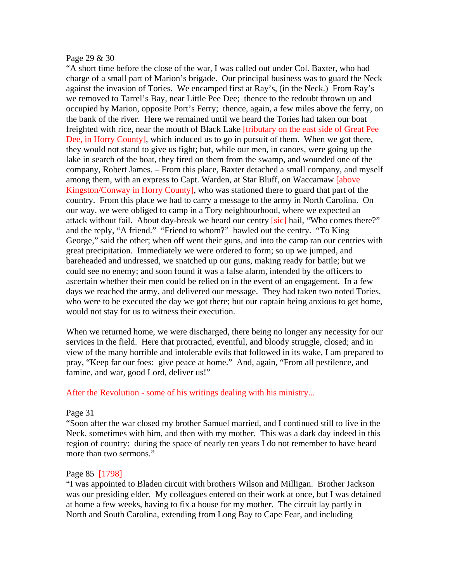#### Page 29 & 30

"A short time before the close of the war, I was called out under Col. Baxter, who had charge of a small part of Marion's brigade. Our principal business was to guard the Neck against the invasion of Tories. We encamped first at Ray's, (in the Neck.) From Ray's we removed to Tarrel's Bay, near Little Pee Dee; thence to the redoubt thrown up and occupied by Marion, opposite Port's Ferry; thence, again, a few miles above the ferry, on the bank of the river. Here we remained until we heard the Tories had taken our boat freighted with rice, near the mouth of Black Lake [tributary on the east side of Great Pee Dee, in Horry County], which induced us to go in pursuit of them. When we got there, they would not stand to give us fight; but, while our men, in canoes, were going up the lake in search of the boat, they fired on them from the swamp, and wounded one of the company, Robert James. – From this place, Baxter detached a small company, and myself among them, with an express to Capt. Warden, at Star Bluff, on Waccamaw [above Kingston/Conway in Horry County], who was stationed there to guard that part of the country. From this place we had to carry a message to the army in North Carolina. On our way, we were obliged to camp in a Tory neighbourhood, where we expected an attack without fail. About day-break we heard our centry *[sic]* hail, "Who comes there?" and the reply, "A friend." "Friend to whom?" bawled out the centry. "To King George," said the other; when off went their guns, and into the camp ran our centries with great precipitation. Immediately we were ordered to form; so up we jumped, and bareheaded and undressed, we snatched up our guns, making ready for battle; but we could see no enemy; and soon found it was a false alarm, intended by the officers to ascertain whether their men could be relied on in the event of an engagement. In a few days we reached the army, and delivered our message. They had taken two noted Tories, who were to be executed the day we got there; but our captain being anxious to get home, would not stay for us to witness their execution.

When we returned home, we were discharged, there being no longer any necessity for our services in the field. Here that protracted, eventful, and bloody struggle, closed; and in view of the many horrible and intolerable evils that followed in its wake, I am prepared to pray, "Keep far our foes: give peace at home." And, again, "From all pestilence, and famine, and war, good Lord, deliver us!"

# After the Revolution - some of his writings dealing with his ministry...

#### Page 31

"Soon after the war closed my brother Samuel married, and I continued still to live in the Neck, sometimes with him, and then with my mother. This was a dark day indeed in this region of country: during the space of nearly ten years I do not remember to have heard more than two sermons."

# Page 85 [1798]

"I was appointed to Bladen circuit with brothers Wilson and Milligan. Brother Jackson was our presiding elder. My colleagues entered on their work at once, but I was detained at home a few weeks, having to fix a house for my mother. The circuit lay partly in North and South Carolina, extending from Long Bay to Cape Fear, and including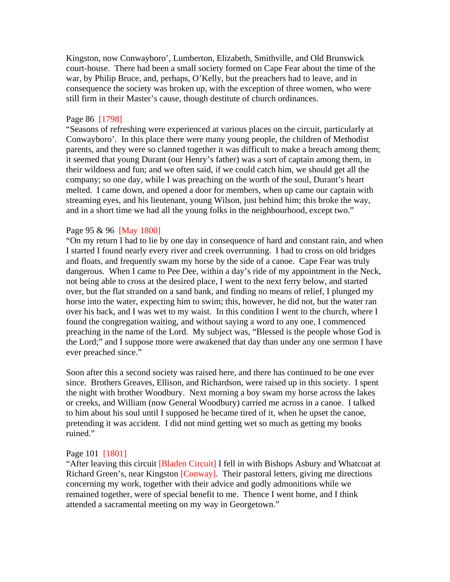Kingston, now Conwayboro', Lumberton, Elizabeth, Smithville, and Old Brunswick court-house. There had been a small society formed on Cape Fear about the time of the war, by Philip Bruce, and, perhaps, O'Kelly, but the preachers had to leave, and in consequence the society was broken up, with the exception of three women, who were still firm in their Master's cause, though destitute of church ordinances.

#### Page 86 [1798]

"Seasons of refreshing were experienced at various places on the circuit, particularly at Conwayboro'. In this place there were many young people, the children of Methodist parents, and they were so clanned together it was difficult to make a breach among them; it seemed that young Durant (our Henry's father) was a sort of captain among them, in their wildness and fun; and we often said, if we could catch him, we should get all the company; so one day, while I was preaching on the worth of the soul, Durant's heart melted. I came down, and opened a door for members, when up came our captain with streaming eyes, and his lieutenant, young Wilson, just behind him; this broke the way, and in a short time we had all the young folks in the neighbourhood, except two."

## Page 95 & 96 [May 1800]

"On my return I had to lie by one day in consequence of hard and constant rain, and when I started I found nearly every river and creek overrunning. I had to cross on old bridges and floats, and frequently swam my horse by the side of a canoe. Cape Fear was truly dangerous. When I came to Pee Dee, within a day's ride of my appointment in the Neck, not being able to cross at the desired place, I went to the next ferry below, and started over, but the flat stranded on a sand bank, and finding no means of relief, I plunged my horse into the water, expecting him to swim; this, however, he did not, but the water ran over his back, and I was wet to my waist. In this condition I went to the church, where I found the congregation waiting, and without saying a word to any one, I commenced preaching in the name of the Lord. My subject was, "Blessed is the people whose God is the Lord;" and I suppose more were awakened that day than under any one sermon I have ever preached since."

Soon after this a second society was raised here, and there has continued to be one ever since. Brothers Greaves, Ellison, and Richardson, were raised up in this society. I spent the night with brother Woodbury. Next morning a boy swam my horse across the lakes or creeks, and William (now General Woodbury) carried me across in a canoe. I talked to him about his soul until I supposed he became tired of it, when he upset the canoe, pretending it was accident. I did not mind getting wet so much as getting my books ruined."

#### Page 101 [1801]

"After leaving this circuit [Bladen Circuit] I fell in with Bishops Asbury and Whatcoat at Richard Green's, near Kingston [Conway]. Their pastoral letters, giving me directions concerning my work, together with their advice and godly admonitions while we remained together, were of special benefit to me. Thence I went home, and I think attended a sacramental meeting on my way in Georgetown."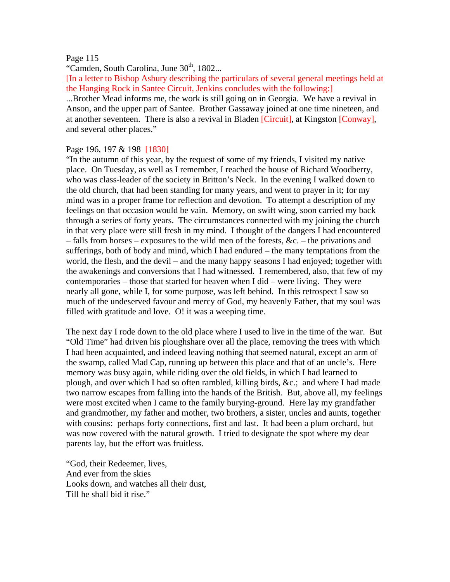### Page 115

"Camden, South Carolina, June  $30<sup>th</sup>$ , 1802...

[In a letter to Bishop Asbury describing the particulars of several general meetings held at the Hanging Rock in Santee Circuit, Jenkins concludes with the following:]

...Brother Mead informs me, the work is still going on in Georgia. We have a revival in Anson, and the upper part of Santee. Brother Gassaway joined at one time nineteen, and at another seventeen. There is also a revival in Bladen [Circuit], at Kingston [Conway], and several other places."

### Page 196, 197 & 198 [1830]

"In the autumn of this year, by the request of some of my friends, I visited my native place. On Tuesday, as well as I remember, I reached the house of Richard Woodberry, who was class-leader of the society in Britton's Neck. In the evening I walked down to the old church, that had been standing for many years, and went to prayer in it; for my mind was in a proper frame for reflection and devotion. To attempt a description of my feelings on that occasion would be vain. Memory, on swift wing, soon carried my back through a series of forty years. The circumstances connected with my joining the church in that very place were still fresh in my mind. I thought of the dangers I had encountered – falls from horses – exposures to the wild men of the forests, &c. – the privations and sufferings, both of body and mind, which I had endured – the many temptations from the world, the flesh, and the devil – and the many happy seasons I had enjoyed; together with the awakenings and conversions that I had witnessed. I remembered, also, that few of my contemporaries – those that started for heaven when I did – were living. They were nearly all gone, while I, for some purpose, was left behind. In this retrospect I saw so much of the undeserved favour and mercy of God, my heavenly Father, that my soul was filled with gratitude and love. O! it was a weeping time.

The next day I rode down to the old place where I used to live in the time of the war. But "Old Time" had driven his ploughshare over all the place, removing the trees with which I had been acquainted, and indeed leaving nothing that seemed natural, except an arm of the swamp, called Mad Cap, running up between this place and that of an uncle's. Here memory was busy again, while riding over the old fields, in which I had learned to plough, and over which I had so often rambled, killing birds, &c.; and where I had made two narrow escapes from falling into the hands of the British. But, above all, my feelings were most excited when I came to the family burying-ground. Here lay my grandfather and grandmother, my father and mother, two brothers, a sister, uncles and aunts, together with cousins: perhaps forty connections, first and last. It had been a plum orchard, but was now covered with the natural growth. I tried to designate the spot where my dear parents lay, but the effort was fruitless.

"God, their Redeemer, lives, And ever from the skies Looks down, and watches all their dust, Till he shall bid it rise."